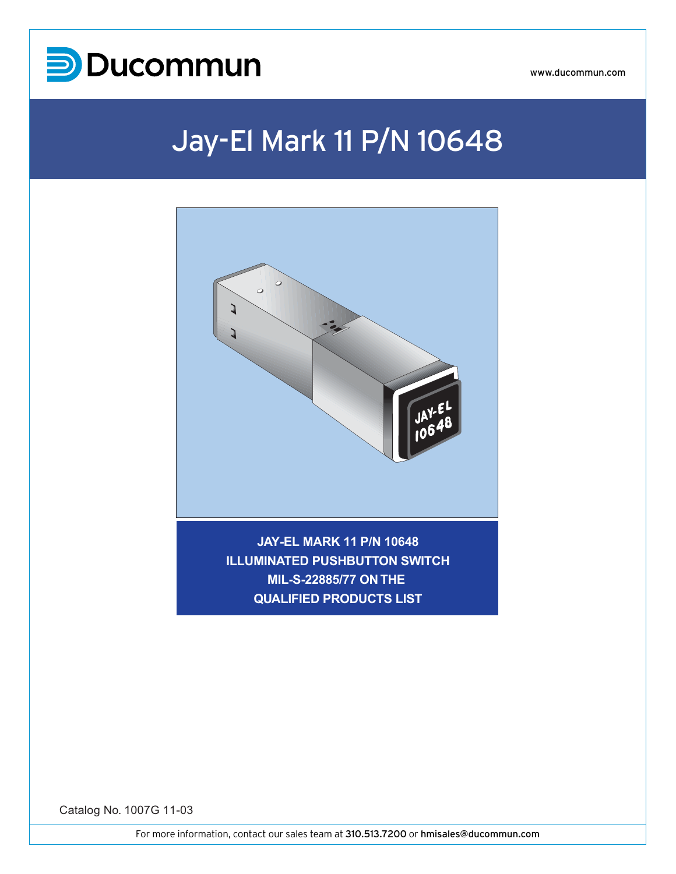

www.ducommun.com

# Jay-El Mark 11 P/N 10648



**JAY-EL MARK 11 P/N 10648 ILLUMINATED PUSHBUTTON SWITCH MIL-S-22885/77 ON THE MIL-S-22885/77 ON THE QUALIFIED PRODUCTS LIST**

Catalog No. 1007G 11-03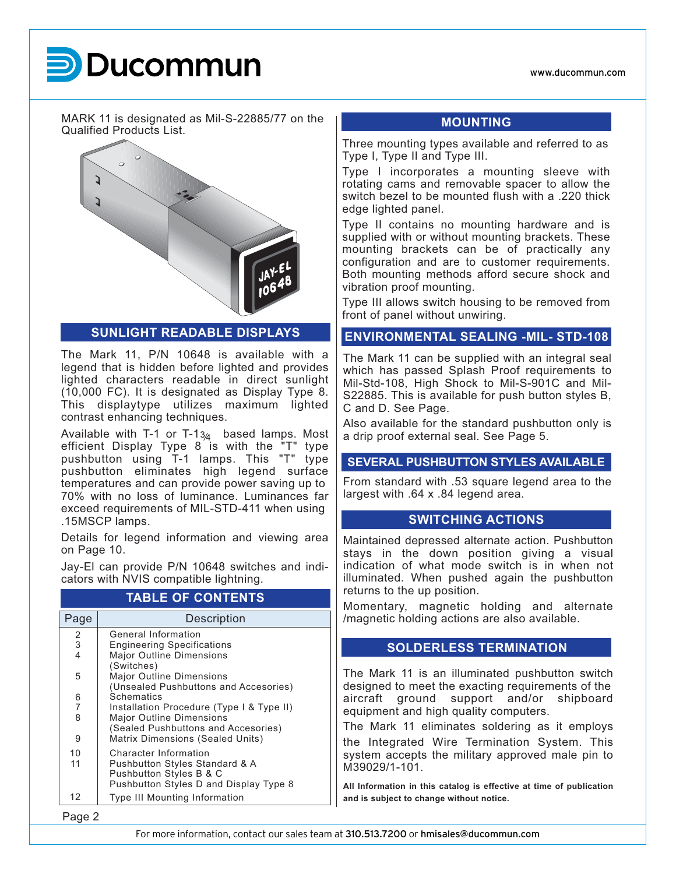www.ducommun.com

MARK 11 is designated as Mil-S-22885/77 on the Qualified Products List.



**SUNLIGHT READABLE DISPLAYS**

The Mark 11, P/N 10648 is available with a legend that is hidden before lighted and provides lighted characters readable in direct sunlight (10,000 FC). It is designated as Display Type 8. This displaytype utilizes maximum lighted contrast enhancing techniques.

Available with T-1 or T-1<sub>3/4</sub> based lamps. Most efficient Display Type 8 is with the "T" type pushbutton using T-1 lamps. This "T" type pushbutton eliminates high legend surface temperatures and can provide power saving up to 70% with no loss of luminance. Luminances far exceed requirements of MIL-STD-411 when using .15MSCP lamps.

Details for legend information and viewing area on Page 10.

Jay-El can provide P/N 10648 switches and indicators with NVIS compatible lightning.

### **TABLE OF CONTENTS**

| Page                     | Description                               |
|--------------------------|-------------------------------------------|
| 2                        | General Information                       |
| 3                        | <b>Engineering Specifications</b>         |
| $\overline{\mathcal{L}}$ | <b>Major Outline Dimensions</b>           |
|                          | (Switches)                                |
| 5                        | <b>Major Outline Dimensions</b>           |
|                          | (Unsealed Pushbuttons and Accesories)     |
| 6                        | Schematics                                |
| $\overline{7}$           | Installation Procedure (Type I & Type II) |
| 8                        | <b>Major Outline Dimensions</b>           |
|                          | (Sealed Pushbuttons and Accesories)       |
| 9                        | Matrix Dimensions (Sealed Units)          |
| 10                       | <b>Character Information</b>              |
| 11                       | <b>Pushbutton Styles Standard &amp; A</b> |
|                          | Pushbutton Styles B & C                   |
|                          | Pushbutton Styles D and Display Type 8    |
| 12                       | Type III Mounting Information             |

### **MOUNTING**

Three mounting types available and referred to as Type I, Type II and Type III.

Type I incorporates a mounting sleeve with rotating cams and removable spacer to allow the switch bezel to be mounted flush with a .220 thick edge lighted panel.

Type II contains no mounting hardware and is supplied with or without mounting brackets. These mounting brackets can be of practically any configuration and are to customer requirements. Both mounting methods afford secure shock and vibration proof mounting.

Type III allows switch housing to be removed from front of panel without unwiring.

### **ENVIRONMENTAL SEALING -MIL- STD-108**

The Mark 11 can be supplied with an integral seal which has passed Splash Proof requirements to Mil-Std-108, High Shock to Mil-S-901C and Mil-S22885. This is available for push button styles B, C and D. See Page.

Also available for the standard pushbutton only is a drip proof external seal. See Page 5.

### **SEVERAL PUSHBUTTON STYLES AVAILABLE**

From standard with .53 square legend area to the largest with .64 x .84 legend area.

### **SWITCHING ACTIONS**

Maintained depressed alternate action. Pushbutton stays in the down position giving a visual indication of what mode switch is in when not illuminated. When pushed again the pushbutton returns to the up position.

Momentary, magnetic holding and alternate /magnetic holding actions are also available.

### **SOLDERLESS TERMINATION**

The Mark 11 is an illuminated pushbutton switch designed to meet the exacting requirements of the aircraft ground support and/or shipboard equipment and high quality computers.

The Mark 11 eliminates soldering as it employs the Integrated Wire Termination System. This system accepts the military approved male pin to M39029/1-101.

**All Information in this catalog is effective at time of publication and is subject to change without notice.**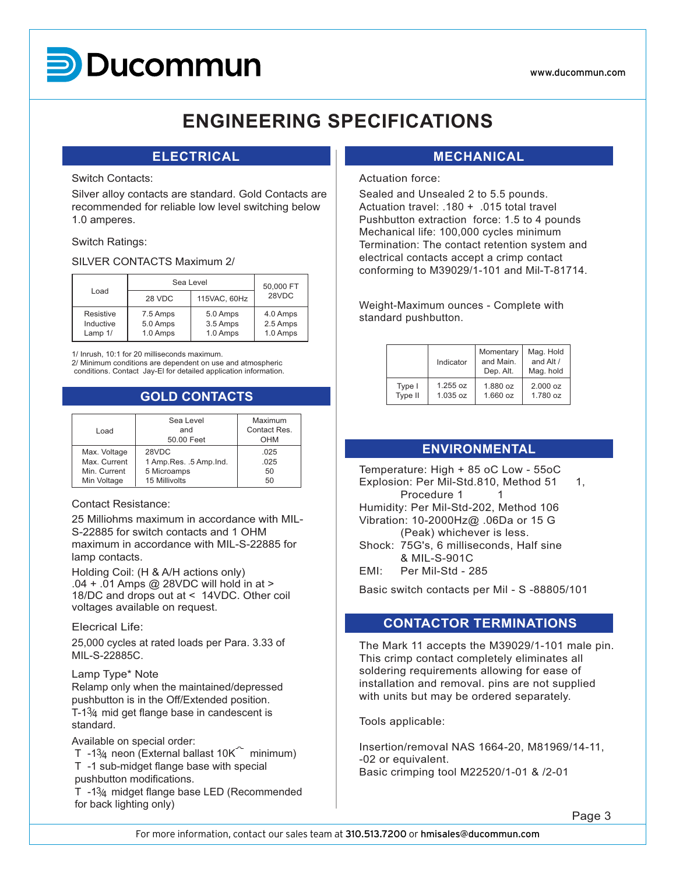### www.ducommun.com

**MARK 111** 

# **ENGINEERING SPECIFICATIONS ENGINEERING SPECIFICATIONS**

# **ELECTRICAL ELECTRICAL**

# Switch Contacts: Switch Contacts:

Silver alloy contacts are standard. Gold Contacts are Silver alloy contacts are standard. Gold Contacts are recommended for reliable low level switching below 1.0 amperes. Silver alloy contacts are standard. Gold Contacts are

# Switch Ratings: Switch Ratings:

# SILVER CONTACTS Maximum 2/ SILVER CONTACTS Maximum 2/

|                                                                                                                                                                                | Sea Level                        | 50,000 FT    |       |  |  |  |  |  |
|--------------------------------------------------------------------------------------------------------------------------------------------------------------------------------|----------------------------------|--------------|-------|--|--|--|--|--|
| Load                                                                                                                                                                           | 28 VDC                           | 115VAC, 60Hz | 28VDC |  |  |  |  |  |
| Resistive<br>Inductive<br>Lamp 1/                                                                                                                                              | 4.0 Amps<br>2.5 Amps<br>1.0 Amps |              |       |  |  |  |  |  |
| 1/ Inrush, 10:1 for 20 milliseconds maximum.<br>2/ Minimum conditions are dependent on use and atmospheric<br>conditions. Contact Jay-El for detailed application information. |                                  |              |       |  |  |  |  |  |
| <b>GOLD CONTACTS</b>                                                                                                                                                           |                                  |              |       |  |  |  |  |  |
|                                                                                                                                                                                |                                  |              |       |  |  |  |  |  |

# **GOLD CONTACTS GOLD CONTACTS**

|              | Sea Level                 | Maximum      |
|--------------|---------------------------|--------------|
| Load         | and                       | Contact Res. |
|              | 50.00 Feet                | OHM          |
| Max. Voltage | 28VDC                     | .025         |
| Max. Current | 1 Amp. Res. . 5 Amp. Ind. | .025         |
| Min. Current | 5 Microamps               | 50           |
| Min Voltage  | 15 Millivolts             | 50           |

# Contact Resistance: Contact Resistance:

25 Milliohms maximum in accordance with MIL-25 Milliohms maximum in accordance with MIL-S-22885 for switch contacts and 1 OHM maximum in accordance with MIL-S-22885 for lamp contacts. zo Millionms maximum in accordance w

Holding Coil: (H & A/H actions only) Holding Coil: (H & A/H actions only)  $104 + 01$  Amps @ 28VDC will hold in at > 18/DC and drops out at < 14VDC. Other coil voltages available on request. Holding Coil: (H & A/H actions only)

# Elecrical Life: Elecrical Life:

25,000 cycles at rated loads per Para. 3.33 of 25,000 cycles at rated loads per Para. 3.33 of MIL-S-22885C. zb,uuu cycles a

# Lamp Type\* Note Lamp Type\* Note

Relamp only when the maintained/depressed Relamp only when the maintained/depressed pushbutton is in the Off/Extended position.<br>T-1<sup>2</sup>  $T-1\frac{3}{4}$  mid get flange base in candescent is standard. Relatify only when the maintained/depress

Available on special order: Available on special order: adi<br>37

- Avaliable on special order.<br>T -13 $/4$  neon (External ballast 10K $\degree$  minimum)  $T = 1.94$  neon (External ballast for  $T = 1.94$
- T -1 sub-midget flange base with special

pushbutton modifications.<br>  $\overline{A}$  -1<sup>2</sup>/<sub>-</sub> midget flange base LED (Recommended

T -134 midget flange base LED (Recommended for back lighting only)

# **MECHANICAL MECHANICAL**

# Actuation force: Actuation force:

Sealed and Unsealed 2 to 5.5 pounds. Sealed and Unsealed 2 to 5.5 pounds. Actuation travel: .180 + .015 total travel Pushbutton extraction force: 1.5 to 4 pounds Mechanical life: 100,000 cycles minimum<br>-Termination: The contact retention system and electrical contacts accept a crimp contact conforming to M39029/1-101 and Mil-T-81714. Sealed and Unsealed 2 to 5.5 pounds.

Weight-Maximum ounces - Complete with Weight-Maximum ounces - Complete with standard pushbutton. weight-maximum our

|         | Indicator | Momentary<br>and Main.<br>Dep. Alt. | Mag. Hold<br>and Alt /<br>Mag. hold |
|---------|-----------|-------------------------------------|-------------------------------------|
| Type I  | 1.255 oz  | $1.880$ oz                          | $2.000$ oz                          |
| Type II | 1.035 oz  | $1.660$ oz                          | $1.780$ oz                          |

# **ENVIRONMENTAL ENVIRONMENTAL**

Temperature: High + 85 oC Low - 55oC Temperature: High + 85 oC Low - 55oC Explosion: Per Mil-Std.810, Method 51 1, Procedure 1 1 Humidity: Per Mil-Std-202, Method 106 Humidity: Per Mil-Std-202, Method 106 Vibration: 10-2000Hz@ .06Da or 15 G (Peak) whichever is less. Shock: 75G's, 6 milliseconds, Half sine Shock: 75G's, 6 milliseconds, Half sine  $\frac{8 \text{ MIL-S-901C}}{2 \cdot 10^{11} \text{ N}}$  $E = \frac{1}{2}$   $E = \frac{1}{2}$   $E = \frac{1}{2}$   $E = \frac{1}{2}$   $E = \frac{1}{2}$   $E = \frac{1}{2}$   $E = \frac{1}{2}$ Humidity: Per Mill-Sta-ZUZ, Metrica Too  $\frac{8}{3}$  D C MILIS

EMI: Per Mil-Std - 285

Basic switch contacts per Mil - S -88805/101 Basic switch contacts per Mil - S -88805/101

# **CONTACTOR TERMINATIONS CONTACTOR TERMINATIONS**

The Mark 11 accepts the M39029/1-101 male pin. The Mark 11 accepts the M39029/1-101 male pin. This crimp contact completely eliminates all soldering requirements allowing for ease of installation and removal. pins are not supplied with units but may be ordered separately. The Mark TT accepts the M39029/T-T0T ma

Tools applicable: Tools applicable:

Insertion/removal NAS 1664-20, M81969/14-11, Insertion/removal NAS 1664-20, M81969/14-11, -02 or equivalent. Basic crimping tool M22520/1-01 & /2-01 Basic crimping tool M22520/1-01 & /2-01 Insertion/removal

Page 3 Page 3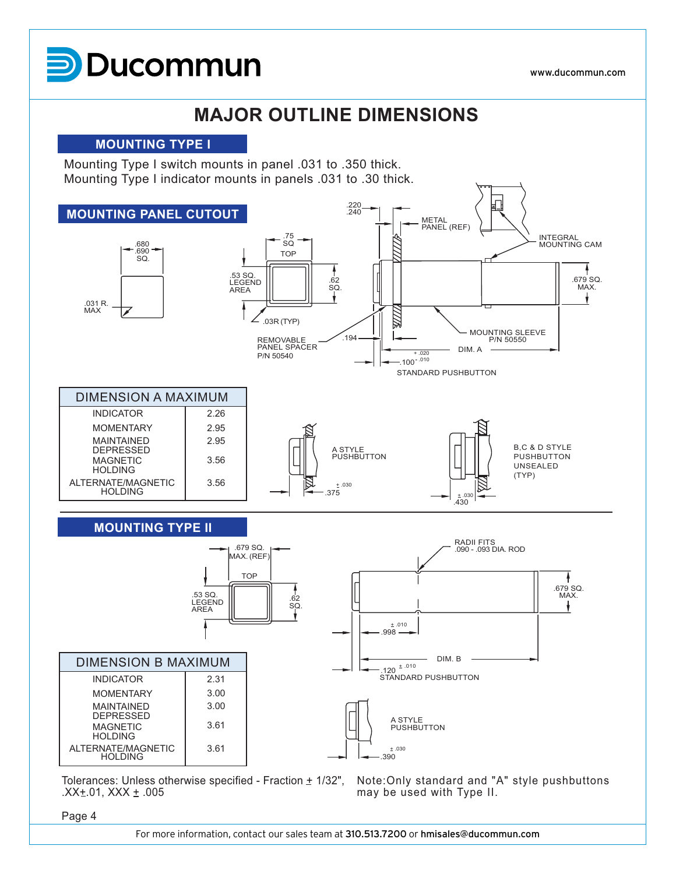**Ducommun** 

# **MAJOR OUTLINE DIMENSIONS**

### **MOUNTING TYPE I**

Mounting Type I switch mounts in panel .031 to .350 thick. Mounting Type I indicator mounts in panels .031 to .30 thick.



Tolerances: Unless otherwise specified - Fraction  $\pm$  1/32",  $.XX \pm .01$ , XXX  $\pm .005$ 

Note:Only standard and "A" style pushbuttons may be used with Type II.

Page 4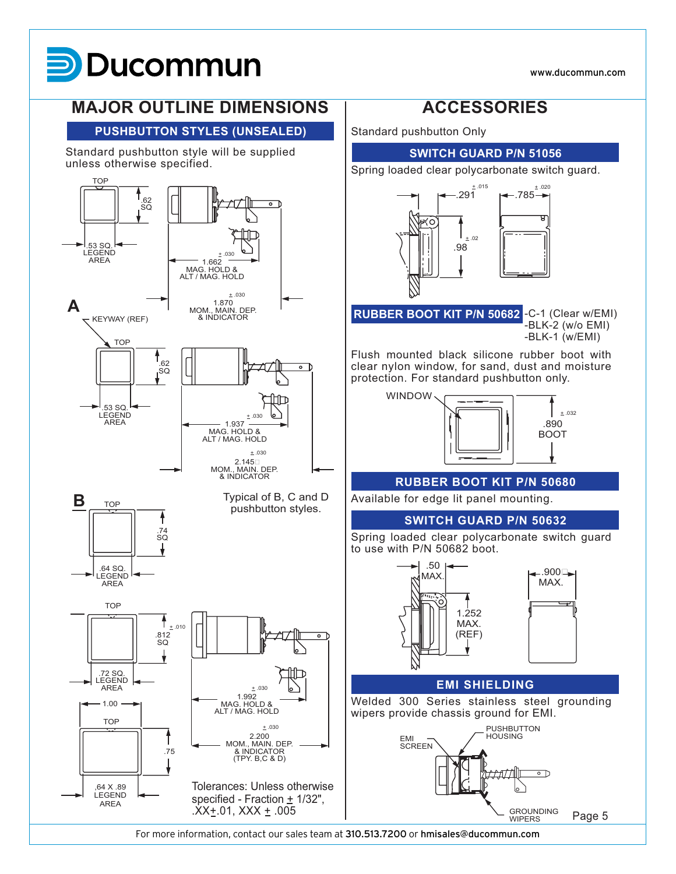www.ducommun.com



# **PUSHBUTTON STYLES (UNSEALED) PUSHBUTTON STYLES (UNSEALED)**

Standard pushbutton style will be supplied Standard pushbutton style will be supplied unless otherwise specified.



Standard pushbutton Only Standard pushbutton Only





**RUBBER BOOT KIT P/N 50682** -C-1 (Clear w/EMI) **RUBBER BOOT KIT P/N 50682** -C-1 (Clear w/EMI) -BLK-2 (w/o EMI) -BLK-1 (w/EMI) -BLK-1 (w/EMI) -U-T (UIEdI W/EIVI<br>DLK-2 *(w/o* EMI)

Flush mounted black silicone rubber boot with Flush mounted black silicone rubber boot with clear nylon window, for sand, dust and moisture protection. For standard pushbutton only. protection. For standard pushbutton only. clear nylon window, for sand, dust and moisture



### **RUBBER BOOT KIT P/N 50680 RUBBER BOOT KIT P/N 50680**

Available for edge lit panel mounting. Available for edge lit panel mounting.

### **SWITCH GUARD P/N 50632 SWITCH GUARD P/N 50632**

Spring loaded clear polycarbonate switch guard Spring loaded clear polycarbonate switch guard to use with P/N 50682 boot. to use with P/N 50682 boot.





### **EMI SHIELDING EMI SHIELDING**

Welded 300 Series stainless steel grounding Welded 300 Series stainless steel grounding wipers provide chassis ground for EMI. wipers provide chassis ground for EMI.

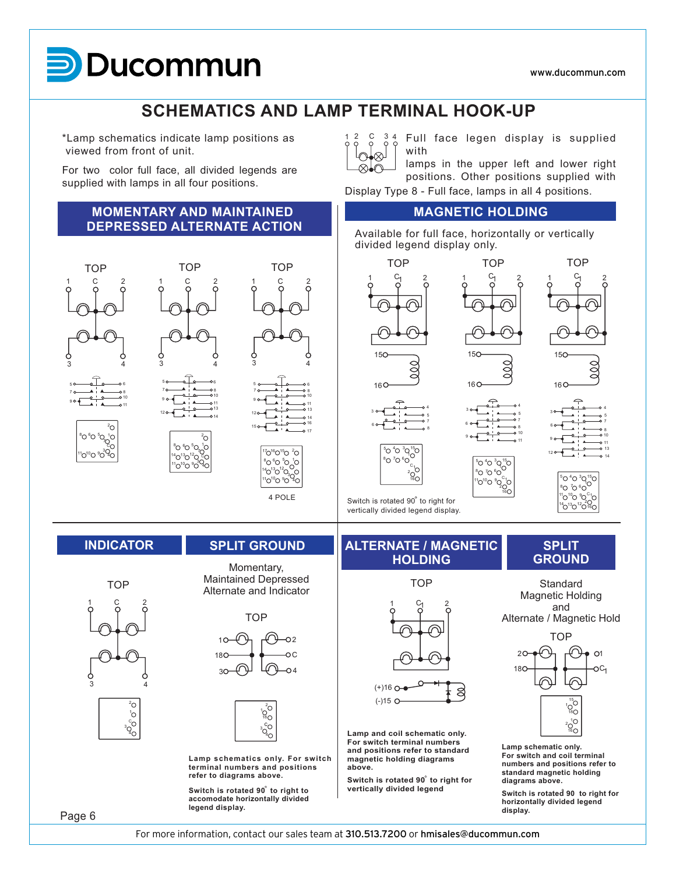# **D**ucommun

**MARK 11**

### **SCHEMATICS AND LAMP TERMINAL HOOK-UP SCHEMATICS AND LAMP TERMINAL HOOK-UP**

 $\otimes$ 

6

10  $\frac{1}{10}$ 14

8

17

17

\*Lamp schematics indicate lamp positions as viewed from front of unit. Lamp schematics indicat

For two color full face, all divided legends are supplied with lamps in all four positions. For two color full face, all divided lege

### **MOMENTARY AND MAINTAINED DEPRESSED ALTERNATE ACTION MOMENTARY AND MAINTAINED DEPAREMENTATION AND MAIN LAINED**





 $^{3}Q$ 

10 U HU 02  $\cap$ 3 18 4  $\sim$  2  $\overline{a}$ 18



Lamp schematics only. For switch **terminal numbers and positions refer to diagrams above.** refer to diagrams above.

**Switch is rotated 90° to right to accomodate horizontally divided legend display. legend display.**

### SPLIT GROUND **ALTERNATE / MAGNETIC** SPLIT Momentary, **COUNDING Momentary, COUNDING MOLDING HOLDING** LIT GROUND **MALIERNAIE / MAGNETIC** SPLIT **ALTERNATE / MAGNETIC IAI E / MA**<br>.........

Switch is rotated 90° to right for vertically divided legend display.

 $\rm _{16C}^\sim$ 



Lamp and coil schematic only. **For switch terminal numbers and positions refer to standard and positions refer to standard magnetic holding diagrams magnetic holding diagrams above. above.** 

Switch is rotated 90<sup>°</sup> to right for **vertically divided legend** 

Full face legen display is supplied with  $2 \begin{array}{ccc} 2 & C & 3 \\ 2 & 2 & 2 \end{array}$ **Full**  $\blacksquare$ 

lamps in the upper left and lower right  $\frac{1}{2}$  positions. Other positions supplied with lamps in the upper left and lower right

Display Type 8 - Full face, lamps in all 4 positions.

### **MAGNETIC HOLDING MAGNETIC HOLDING**

 $4\cap$ <sup>3</sup>

 $5 \cap 4 \cap 3 \cap 15$ 

 $^{11}O^{10}O^{9}O^{c_1}$ 

16

 $\rm{^{10}}$ 

1

 $000$ 

10

 $\frac{1}{10}$ 

11

11

8∩ 7∩ 6

9

ĩ

Available for full face, horizontally or vertically divided legend display only. TOP TOP  $A_{\rm eff}$  for full face, horizontally or vertically or vertically or vertically or vertically or vertically or vertically  $\sim$ Available for full face, horiz

 $15<sub>O</sub>$ 

 $\overline{a}$ 

16<sub>C</sub>





‱ ໄດ 6  $11$ വിവ ീറ $^{\circ}1$  $14$ <sup>13</sup>O<sup>12</sup>O<sup>16</sup>  ${}^8O$   ${}^7O$   ${}^6O$  $^{4}O^{3}O^{15}$ 

Magnetic Holding and Alternate / Magnetic Hold Standard  $\blacksquare$  Mand



**Lamp schematic only. For switch and coil terminal numbers and positions refer to standard magnetic holding standard magnetic holding diagrams above. diagrams above. Switch is rotated 90 to right for**

**Switch is rotated** 90 to right for **horizontally divided legend display. display.**

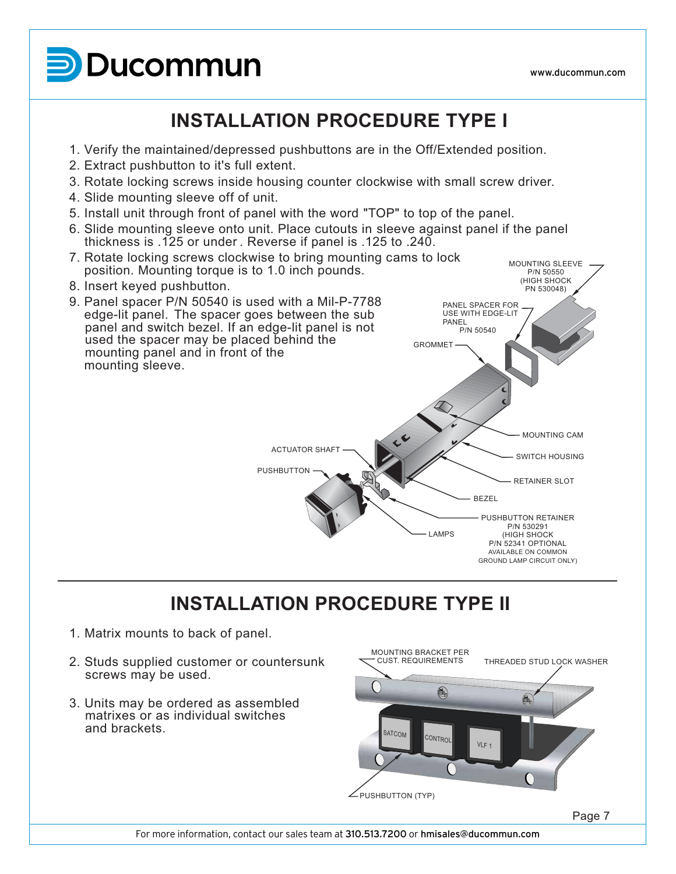**D**Ducommun

**MARK 11**

### **INSTALLATION PROCEDURE TYPE I INSTALLATION PROCEDURE TYPE I**

- 1. Verify the maintained/depressed pushbuttons are in the Off/Extended position. 1. Verify the maintained/depressed pushbuttons are in the Off/Extended position. 1. Verify the maintained/depressed pus
- 2. Extract pushbutton to it's full extent.
- 3. Rotate locking screws inside housing counter clockwise with small screw driver. 2. Extract pushbutton to it's full extent.<br>A Rotate locking counter counter counter counter clockwise with small screw driver. 3. Rolate locking screws inside nou
- 4. Slide mounting sleeve off of unit.
- 5. Install unit through front of panel with the word "TOP" to top of the panel. 5. Install unit through front of panel with the word "TOP" to top of the panel.  $\sigma$ . Histali unit. Infough front of panel with the word  $\sigma$  from top of the panel.
- 6. Slide mounting sleeve onto unit. Place cutouts in sleeve against panel if the panel thickness is .125 or under . Reverse if panel is .125 to .240.



### **INSTALLATION PROCEDURE TYPE II INSTALLATION PROCEDURE TYPE II**

- 1. Matrix mounts to back of panel. 1. Matrix mounts to back of panel.
- 2. Studs supplied customer or countersunk screws may be used.  $\sim$  Studies supplied customer or countersunk or countersunk or countersunk or countersunk or countersunk or countersunk or countersunk or countersunk or countersunk or countersunk or countersunk or countersunk or counter Studs supplied custor
- 3. Units may be ordered as assembled matrixes or as individual switches and brackets.  $\sim$  Units may be ordered as assembled as assembled as assembled as assembled as assembled as assembled as assembled as assembled as a series of the series of the series of the series of the series of the series of the se . Units may be ordered as assembl



 $\frac{1}{2}$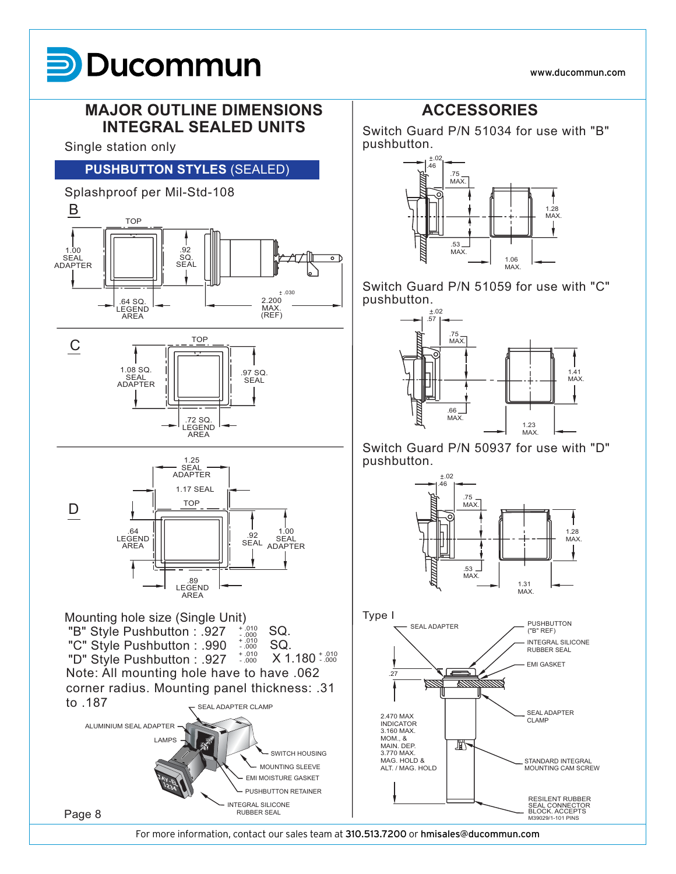www.ducommun.com

# **D**Ducommun **MARK 11**

# **MAJOR OUTLINE DIMENSIONS MAJOR OUTLINE DIMENSIONS INTEGRAL SEALED UNITS INTEGRAL SEALED UNITS**

Single station only Single station only

# **PUSHBUTTON STYLES** (SEALED) **PUSHBUTTON STYLES** (SEALED)



# **ACCESSORIES ACCESSORIES**

Switch Guard P/N 51034 for use with "B" Switch Guard P/N 51034 for use with "B" pushbutton. pushbutton.<br>Davohbutton. +.02



Switch Guard P/N 51059 for use with "C" Switch Guard P/N 51059 for use with "C" pushbutton. pushbutton.



Switch Guard P/N 50937 for use with "D" Switch Guard P/N 50937 for use with "D" pushbutton. pushbutton.<br>Davohbutton.

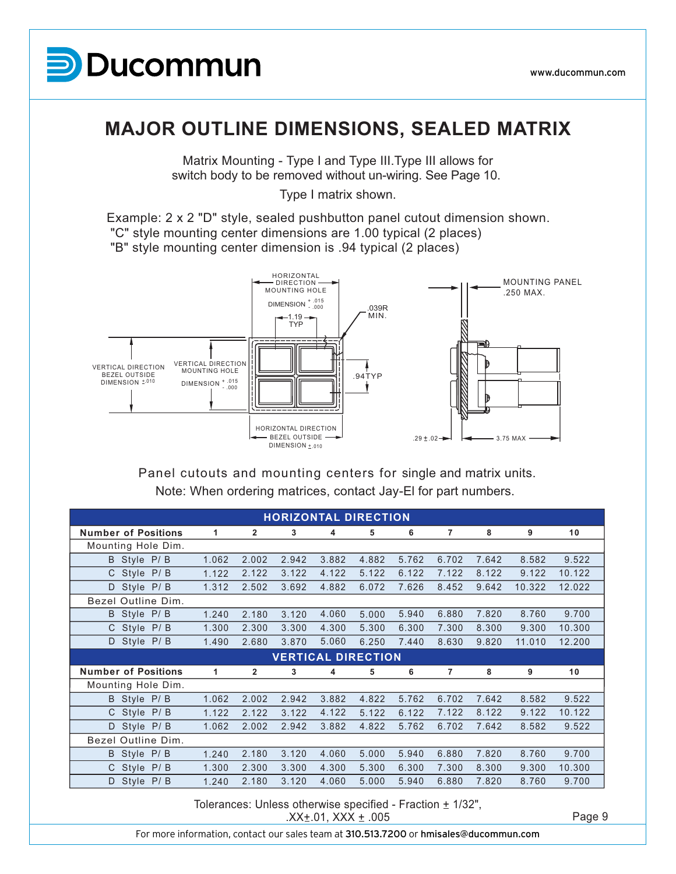

### **MAJOR OUTLINE DIMENSIONS, SEALED MATRIX MAJOR OUTLINE DIMENSIONS, SEALED MATRIX**

Matrix Mounting - Type I and Type III.Type III allows for switch body to be removed without un-wiring. See Page 10.  $\mathbf{M}$  , the II.Type II.Type III.Type III.Type III.Type III.Type III.Type II.Type II.Type II.Type II.Type II.Type II.Type II.Type II.Type II.Type II.Type II.Type II.Type II.Type II.Type II.Type II.Type II.Type II.Type I watrix wounting - Type Fand Type in Type in allows for Type I matrix shown.

Type I matrix shown.

Example: 2 x 2 "D" style, sealed pushbutton panel cutout dimension shown. "C" style mounting center dimensions are 1.00 typical (2 places) "B" style mounting center dimension is .94 typical (2 places) Example: 2 x 2 "D" style, sealed pushbutton panel cutout dimension shown.  $\frac{1}{2}$  cample:  $2 \times 2$  D style, sealed pushbutton panel cutout dimensions are 1.00 to 1.00 to 1.00 to 1.00 to 1.00 to 1.00 to 1.00 to 1.00 to 1.00 to 1.00 to 1.00 to 1.00 to 1.00 to 1.00 to 1.00 to 1.00 to 1.00 to 1.00



Note: When ordering matrices, contact Jay-El for part numbers. Panel cutouts and mounting centers for single and matrix units. Note: When ordering contact or part numbers. Panel cutouts and mounting centers for single and matrix units.

|                            |       |                |       | <b>HORIZONTAL DIRECTION</b> |       |       |                |       |        |        |
|----------------------------|-------|----------------|-------|-----------------------------|-------|-------|----------------|-------|--------|--------|
| <b>Number of Positions</b> | 1     | 2              | 3     | 4                           | 5     | 6     | 7              | 8     | 9      | 10     |
| Mounting Hole Dim.         |       |                |       |                             |       |       |                |       |        |        |
| B Style P/B                | 1.062 | 2.002          | 2.942 | 3.882                       | 4.882 | 5.762 | 6.702          | 7.642 | 8.582  | 9.522  |
| C Style P/B                | 1.122 | 2.122          | 3.122 | 4.122                       | 5.122 | 6.122 | 7.122          | 8.122 | 9.122  | 10.122 |
| Style P/B<br>D             | 1.312 | 2.502          | 3.692 | 4.882                       | 6.072 | 7.626 | 8.452          | 9.642 | 10.322 | 12.022 |
| Bezel Outline Dim.         |       |                |       |                             |       |       |                |       |        |        |
| B Style P/B                | 1.240 | 2.180          | 3.120 | 4.060                       | 5.000 | 5.940 | 6.880          | 7.820 | 8.760  | 9.700  |
| C Style P/B                | 1.300 | 2.300          | 3.300 | 4.300                       | 5.300 | 6.300 | 7.300          | 8.300 | 9.300  | 10.300 |
| D Style P/B                | 1.490 | 2.680          | 3.870 | 5.060                       | 6.250 | 7.440 | 8.630          | 9.820 | 11.010 | 12.200 |
| <b>VERTICAL DIRECTION</b>  |       |                |       |                             |       |       |                |       |        |        |
|                            |       |                |       |                             |       |       |                |       |        |        |
| <b>Number of Positions</b> | 1     | $\overline{2}$ | 3     | 4                           | 5     | 6     | $\overline{7}$ | 8     | 9      | 10     |
| Mounting Hole Dim.         |       |                |       |                             |       |       |                |       |        |        |
| B Style P/B                | 1.062 | 2.002          | 2.942 | 3.882                       | 4.822 | 5.762 | 6.702          | 7.642 | 8.582  | 9.522  |
| C Style P/B                | 1.122 | 2.122          | 3.122 | 4.122                       | 5.122 | 6.122 | 7.122          | 8.122 | 9.122  | 10.122 |
| D<br>Style P/B             | 1.062 | 2.002          | 2.942 | 3.882                       | 4.822 | 5.762 | 6.702          | 7.642 | 8.582  | 9.522  |
| Bezel Outline Dim.         |       |                |       |                             |       |       |                |       |        |        |
| B Style P/B                | 1.240 | 2.180          | 3.120 | 4.060                       | 5.000 | 5.940 | 6.880          | 7.820 | 8.760  | 9.700  |
| C Style P/B                | 1.300 | 2.300          | 3.300 | 4.300                       | 5.300 | 6.300 | 7.300          | 8.300 | 9.300  | 10.300 |
| Style P/B<br>D             | 1.240 | 2.180          | 3.120 | 4.060                       | 5.000 | 5.940 | 6.880          | 7.820 | 8.760  | 9.700  |

Tolerances: Unless otherwise specified - Fraction  $\pm$  1/32", s otnerwise specified - Fraction ± 1/32",<br>.XX±.01, XXX ± .005 Page 9

XX±.01, XXX ± .005 .<br>For more information, contact our sales team at **310.513.7200** or **hmisales@ducommun.com**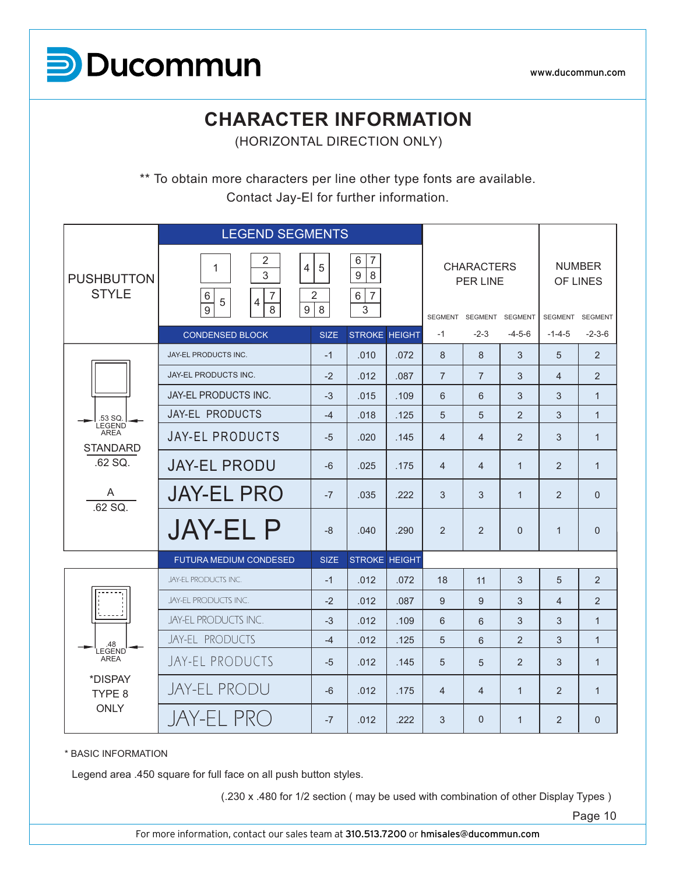

www.ducommun.com

### **CHARACTER INFORMATION** (HORIZONTAL DIRECTION ONLY) **CHARACTER INFORMATION**

(HORIZONTAL DIRECTION ONLY)

\*\* To obtain more characters per line other type fonts are available. Contact Jay-El for further information. \*\* To obtain more characters per line other type fonts are available. So characters for this called type form

|                                                                        | <b>LEGEND SEGMENTS</b>                                                                                                 |             |                                                            |      |                                                                 |                |                                              |                |              |
|------------------------------------------------------------------------|------------------------------------------------------------------------------------------------------------------------|-------------|------------------------------------------------------------|------|-----------------------------------------------------------------|----------------|----------------------------------------------|----------------|--------------|
| <b>PUSHBUTTON</b><br><b>STYLE</b>                                      | $\sqrt{2}$<br>1<br>$\overline{4}$<br>3<br>$6\,$<br>$\overline{7}$<br>5<br>$\overline{4}$<br>9<br>8<br>$\boldsymbol{9}$ | 5<br>2<br>8 | 6<br>$\overline{7}$<br>9<br>8<br>6 <br>$\overline{7}$<br>3 |      | <b>CHARACTERS</b><br><b>PER LINE</b><br>SEGMENT SEGMENT SEGMENT |                | <b>NUMBER</b><br>OF LINES<br>SEGMENT SEGMENT |                |              |
|                                                                        | <b>CONDENSED BLOCK</b>                                                                                                 | <b>SIZE</b> | <b>STROKE HEIGHT</b>                                       |      | $-1$                                                            | $-2-3$         | $-4-5-6$                                     | $-1 - 4 - 5$   | $-2-3-6$     |
|                                                                        | JAY-EL PRODUCTS INC.                                                                                                   | $-1$        | .010                                                       | .072 | 8                                                               | 8              | 3                                            | 5              | 2            |
|                                                                        | JAY-EL PRODUCTS INC.                                                                                                   | $-2$        | .012                                                       | .087 | $\overline{7}$                                                  | $\overline{7}$ | 3                                            | $\overline{4}$ | 2            |
|                                                                        | JAY-EL PRODUCTS INC.                                                                                                   | $-3$        | .015                                                       | .109 | 6                                                               | 6              | 3                                            | 3              | $\mathbf{1}$ |
| .53 SQ.<br><b>LEGEND</b>                                               | JAY-EL PRODUCTS                                                                                                        | $-4$        | .018                                                       | .125 | 5                                                               | 5              | $\overline{2}$                               | 3              | $\mathbf{1}$ |
| <b>AREA</b><br><b>STANDARD</b>                                         | <b>JAY-EL PRODUCTS</b>                                                                                                 | $-5$        | .020                                                       | .145 | $\overline{4}$                                                  | $\overline{4}$ | $\overline{2}$                               | 3              | $\mathbf{1}$ |
| .62 SQ.                                                                | <b>JAY-EL PRODU</b>                                                                                                    | $-6$        | .025                                                       | .175 | $\overline{4}$                                                  | 4              | $\mathbf{1}$                                 | 2              | $\mathbf{1}$ |
| A<br>.62 SQ.                                                           | <b>JAY-EL PRO</b>                                                                                                      | $-7$        | .035                                                       | .222 | 3                                                               | 3              | $\mathbf{1}$                                 | $\overline{2}$ | $\Omega$     |
|                                                                        | <b>JAY-EL P</b>                                                                                                        | $-8$        | .040                                                       | .290 | 2                                                               | 2              | $\Omega$                                     | $\mathbf{1}$   | $\Omega$     |
|                                                                        | <b>FUTURA MEDIUM CONDESED</b>                                                                                          | <b>SIZE</b> | <b>STROKE HEIGHT</b>                                       |      |                                                                 |                |                                              |                |              |
|                                                                        | JAY-EL PRODUCTS INC.                                                                                                   | $-1$        | .012                                                       | .072 | 18                                                              | 11             | 3                                            | 5              | 2            |
|                                                                        | JAY-EL PRODUCTS INC.                                                                                                   | $-2$        | .012                                                       | .087 | 9                                                               | 9              | 3                                            | $\overline{4}$ | 2            |
|                                                                        | JAY-FL PRODUCTS INC.                                                                                                   | $-3$        | .012                                                       | .109 | 6                                                               | 6              | 3                                            | 3              | $\mathbf{1}$ |
| .48                                                                    | JAY-EL PRODUCTS                                                                                                        | $-4$        | .012                                                       | .125 | 5                                                               | 6              | $\overline{2}$                               | 3              | $\mathbf{1}$ |
| LEGEND <sup>'</sup><br><b>AREA</b><br>*DISPAY<br>TYPE 8<br><b>ONLY</b> | JAY-EL PRODUCTS                                                                                                        | $-5$        | .012                                                       | .145 | 5                                                               | 5              | 2                                            | 3              | $\mathbf{1}$ |
|                                                                        | <b>JAY-EL PRODU</b>                                                                                                    | $-6$        | .012                                                       | .175 | $\overline{4}$                                                  | $\overline{4}$ | $\mathbf{1}$                                 | 2              | $\mathbf{1}$ |
|                                                                        | JAY-EL PRO                                                                                                             | $-7$        | .012                                                       | .222 | 3                                                               | $\Omega$       | $\mathbf{1}$                                 | 2              | $\Omega$     |

\* BASIC INFORMATION

Legend area .450 square for full face on all push button styles.

(.230 x .480 for 1/2 section ( may be used with combination of other Display Types )

Page 10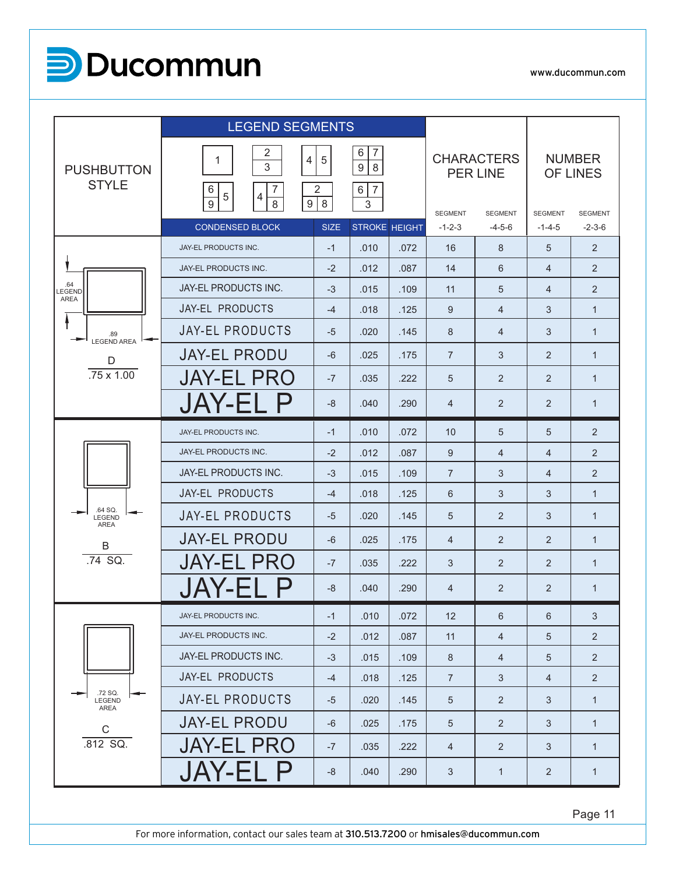

|                                   | <b>LEGEND SEGMENTS</b>                                                                                             |             |                                                                   |      |                            |                                      |                                |                            |
|-----------------------------------|--------------------------------------------------------------------------------------------------------------------|-------------|-------------------------------------------------------------------|------|----------------------------|--------------------------------------|--------------------------------|----------------------------|
| <b>PUSHBUTTON</b><br><b>STYLE</b> | $\overline{2}$<br>$\overline{4}$<br>1<br>3<br>6<br>$\overline{7}$<br>$\sqrt{5}$<br>4<br>$\boldsymbol{9}$<br>9<br>8 | 5<br>2<br>8 | 6<br>7<br>$\boldsymbol{9}$<br>$\,8\,$<br>$\overline{7}$<br>6<br>3 |      |                            | <b>CHARACTERS</b><br><b>PER LINE</b> |                                | <b>NUMBER</b><br>OF LINES  |
|                                   | <b>CONDENSED BLOCK</b>                                                                                             | <b>SIZE</b> | <b>STROKE HEIGHT</b>                                              |      | <b>SEGMENT</b><br>$-1-2-3$ | <b>SEGMENT</b><br>$-4-5-6$           | <b>SEGMENT</b><br>$-1 - 4 - 5$ | <b>SEGMENT</b><br>$-2-3-6$ |
|                                   | JAY-EL PRODUCTS INC.                                                                                               | $-1$        | .010                                                              | .072 | 16                         | 8                                    | 5                              | 2                          |
|                                   | JAY-EL PRODUCTS INC.                                                                                               | $-2$        | .012                                                              | .087 | 14                         | 6                                    | $\overline{4}$                 | $\overline{2}$             |
| .64<br>LEGEND<br><b>AREA</b>      | <b>JAY-EL PRODUCTS INC.</b>                                                                                        | $-3$        | .015                                                              | .109 | 11                         | 5                                    | $\overline{4}$                 | 2                          |
|                                   | JAY-EL PRODUCTS                                                                                                    | $-4$        | .018                                                              | .125 | 9                          | $\overline{4}$                       | 3                              | $\mathbf{1}$               |
| .89<br><b>LEGEND AREA</b>         | <b>JAY-EL PRODUCTS</b>                                                                                             | $-5$        | .020                                                              | .145 | 8                          | $\overline{4}$                       | 3                              | $\mathbf{1}$               |
| D                                 | <b>JAY-EL PRODU</b>                                                                                                | -6          | .025                                                              | .175 | $\overline{7}$             | 3                                    | 2                              | $\mathbf{1}$               |
| $.75 \times 1.00$                 | <b>JAY-EL PRO</b>                                                                                                  | $-7$        | .035                                                              | .222 | 5                          | 2                                    | 2                              | $\mathbf{1}$               |
|                                   | <b>JAY-EL P</b>                                                                                                    | $-8$        | .040                                                              | .290 | 4                          | 2                                    | 2                              | $\mathbf{1}$               |
|                                   | <b>JAY-EL PRODUCTS INC.</b>                                                                                        | $-1$        | .010                                                              | .072 | 10                         | 5                                    | 5                              | 2                          |
|                                   | JAY-EL PRODUCTS INC.                                                                                               | $-2$        | .012                                                              | .087 | 9                          | $\overline{4}$                       | 4                              | 2                          |
|                                   | <b>JAY-EL PRODUCTS INC.</b>                                                                                        | $-3$        | .015                                                              | .109 | $\overline{7}$             | 3                                    | $\overline{4}$                 | $\overline{2}$             |
|                                   | <b>JAY-EL PRODUCTS</b>                                                                                             | $-4$        | .018                                                              | .125 | 6                          | 3                                    | 3                              | $\mathbf{1}$               |
| .64 SQ.<br>LEGEND<br><b>AREA</b>  | <b>JAY-EL PRODUCTS</b>                                                                                             | $-5$        | .020                                                              | .145 | 5                          | $\overline{2}$                       | 3                              | $\mathbf{1}$               |
| B                                 | <b>JAY-EL PRODU</b>                                                                                                | $-6$        | .025                                                              | .175 | $\overline{4}$             | $\overline{2}$                       | 2                              | $\mathbf{1}$               |
| .74 SQ.                           | <b>JAY-EL PRO</b>                                                                                                  | $-7$        | .035                                                              | .222 | 3                          | $\overline{2}$                       | 2                              | $\mathbf{1}$               |
|                                   |                                                                                                                    | -8          | .040                                                              | .290 | 4                          | 2                                    | 2                              | $\mathbf{1}$               |
|                                   | JAY-EL PRODUCTS INC.                                                                                               | $-1$        | .010                                                              | .072 | 12                         | 6                                    | 6                              | 3                          |
|                                   | JAY-EL PRODUCTS INC.                                                                                               | $-2$        | .012                                                              | .087 | 11                         | $\overline{4}$                       | 5                              | 2                          |
|                                   | JAY-EL PRODUCTS INC.                                                                                               | $-3$        | .015                                                              | .109 | $\,8\,$                    | $\overline{4}$                       | 5                              | 2                          |
|                                   | JAY-EL PRODUCTS                                                                                                    | $-4$        | .018                                                              | .125 | $\overline{7}$             | 3                                    | $\overline{4}$                 | $\overline{2}$             |
| .72 SQ.<br>LEGEND<br>AREA         | <b>JAY-EL PRODUCTS</b>                                                                                             | $-5$        | .020                                                              | .145 | $\sqrt{5}$                 | 2                                    | 3                              | $\mathbf{1}$               |
| $\mathbf C$                       | <b>JAY-EL PRODU</b>                                                                                                | $-6$        | .025                                                              | .175 | $\sqrt{5}$                 | $\overline{2}$                       | 3                              | $\mathbf{1}$               |
| .812 SQ.                          | <b>JAY-EL PRO</b>                                                                                                  | $-7$        | .035                                                              | .222 | $\overline{4}$             | 2                                    | 3                              | $\mathbf{1}$               |
|                                   | <b>JAY-EL P</b>                                                                                                    | -8          | .040                                                              | .290 | $\sqrt{3}$                 | $\mathbf{1}$                         | $\overline{2}$                 | $\mathbf{1}$               |

Page 11